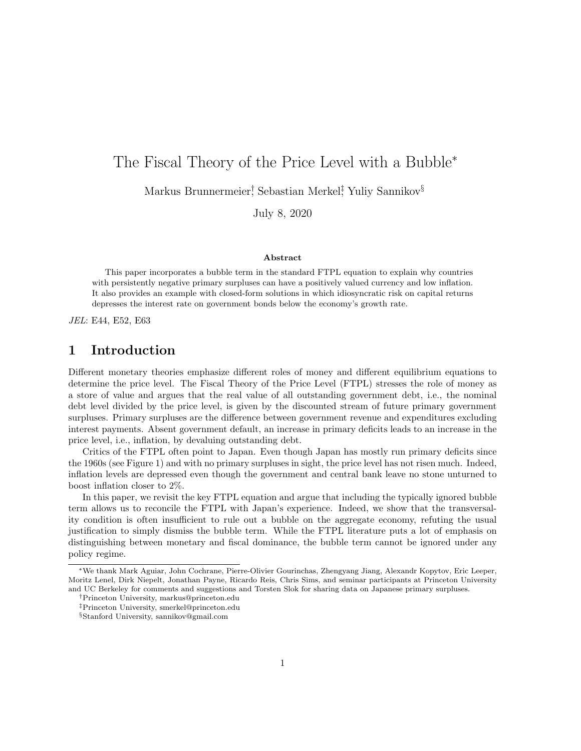# The Fiscal Theory of the Price Level with a Bubble<sup>∗</sup>

Markus Brunnermeier† , Sebastian Merkel‡ , Yuliy Sannikov§

July 8, 2020

#### Abstract

This paper incorporates a bubble term in the standard FTPL equation to explain why countries with persistently negative primary surpluses can have a positively valued currency and low inflation. It also provides an example with closed-form solutions in which idiosyncratic risk on capital returns depresses the interest rate on government bonds below the economy's growth rate.

JEL: E44, E52, E63

## 1 Introduction

Different monetary theories emphasize different roles of money and different equilibrium equations to determine the price level. The Fiscal Theory of the Price Level (FTPL) stresses the role of money as a store of value and argues that the real value of all outstanding government debt, i.e., the nominal debt level divided by the price level, is given by the discounted stream of future primary government surpluses. Primary surpluses are the difference between government revenue and expenditures excluding interest payments. Absent government default, an increase in primary deficits leads to an increase in the price level, i.e., inflation, by devaluing outstanding debt.

Critics of the FTPL often point to Japan. Even though Japan has mostly run primary deficits since the 1960s (see Figure 1) and with no primary surpluses in sight, the price level has not risen much. Indeed, inflation levels are depressed even though the government and central bank leave no stone unturned to boost inflation closer to 2%.

In this paper, we revisit the key FTPL equation and argue that including the typically ignored bubble term allows us to reconcile the FTPL with Japan's experience. Indeed, we show that the transversality condition is often insufficient to rule out a bubble on the aggregate economy, refuting the usual justification to simply dismiss the bubble term. While the FTPL literature puts a lot of emphasis on distinguishing between monetary and fiscal dominance, the bubble term cannot be ignored under any policy regime.

<sup>∗</sup>We thank Mark Aguiar, John Cochrane, Pierre-Olivier Gourinchas, Zhengyang Jiang, Alexandr Kopytov, Eric Leeper, Moritz Lenel, Dirk Niepelt, Jonathan Payne, Ricardo Reis, Chris Sims, and seminar participants at Princeton University and UC Berkeley for comments and suggestions and Torsten Slok for sharing data on Japanese primary surpluses.

<sup>†</sup>Princeton University, markus@princeton.edu

<sup>‡</sup>Princeton University, smerkel@princeton.edu

<sup>§</sup>Stanford University, sannikov@gmail.com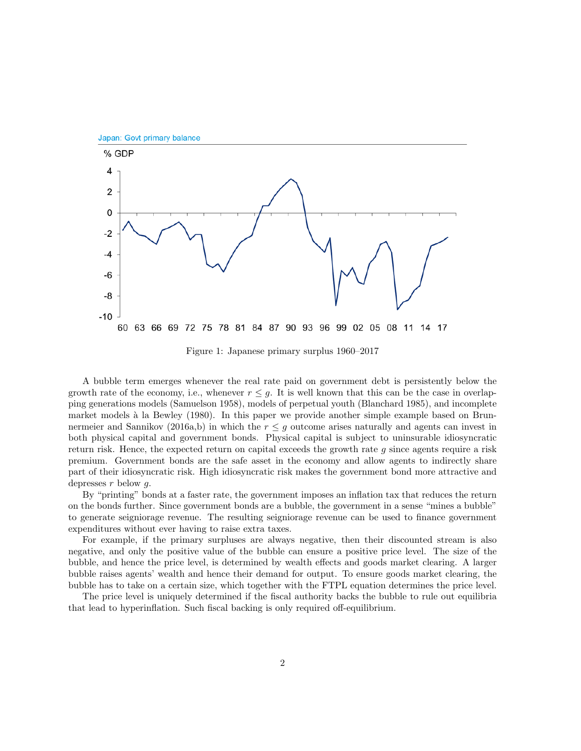

Figure 1: Japanese primary surplus 1960–2017

A bubble term emerges whenever the real rate paid on government debt is persistently below the growth rate of the economy, i.e., whenever  $r \leq q$ . It is well known that this can be the case in overlapping generations models (Samuelson 1958), models of perpetual youth (Blanchard 1985), and incomplete market models à la Bewley (1980). In this paper we provide another simple example based on Brunnermeier and Sannikov (2016a,b) in which the  $r \leq g$  outcome arises naturally and agents can invest in both physical capital and government bonds. Physical capital is subject to uninsurable idiosyncratic return risk. Hence, the expected return on capital exceeds the growth rate  $g$  since agents require a risk premium. Government bonds are the safe asset in the economy and allow agents to indirectly share part of their idiosyncratic risk. High idiosyncratic risk makes the government bond more attractive and depresses  $r$  below  $q$ .

By "printing" bonds at a faster rate, the government imposes an inflation tax that reduces the return on the bonds further. Since government bonds are a bubble, the government in a sense "mines a bubble" to generate seigniorage revenue. The resulting seigniorage revenue can be used to finance government expenditures without ever having to raise extra taxes.

For example, if the primary surpluses are always negative, then their discounted stream is also negative, and only the positive value of the bubble can ensure a positive price level. The size of the bubble, and hence the price level, is determined by wealth effects and goods market clearing. A larger bubble raises agents' wealth and hence their demand for output. To ensure goods market clearing, the bubble has to take on a certain size, which together with the FTPL equation determines the price level.

The price level is uniquely determined if the fiscal authority backs the bubble to rule out equilibria that lead to hyperinflation. Such fiscal backing is only required off-equilibrium.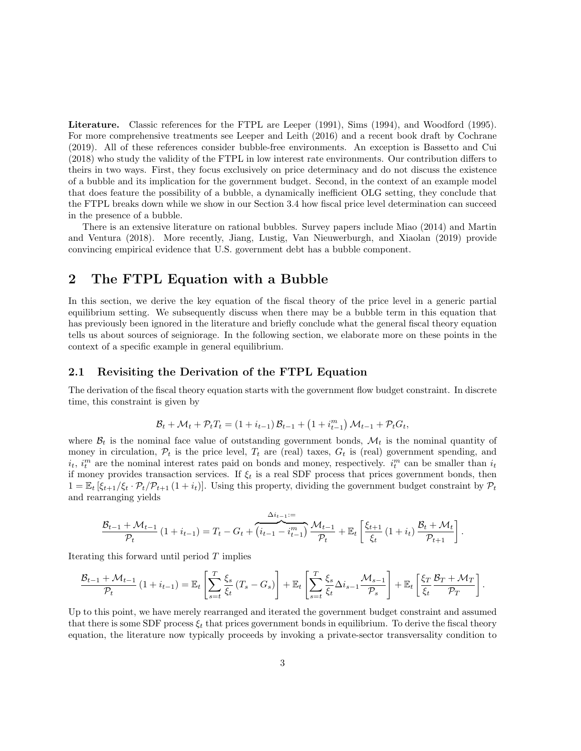Literature. Classic references for the FTPL are Leeper (1991), Sims (1994), and Woodford (1995). For more comprehensive treatments see Leeper and Leith (2016) and a recent book draft by Cochrane (2019). All of these references consider bubble-free environments. An exception is Bassetto and Cui (2018) who study the validity of the FTPL in low interest rate environments. Our contribution differs to theirs in two ways. First, they focus exclusively on price determinacy and do not discuss the existence of a bubble and its implication for the government budget. Second, in the context of an example model that does feature the possibility of a bubble, a dynamically inefficient OLG setting, they conclude that the FTPL breaks down while we show in our Section 3.4 how fiscal price level determination can succeed in the presence of a bubble.

There is an extensive literature on rational bubbles. Survey papers include Miao (2014) and Martin and Ventura (2018). More recently, Jiang, Lustig, Van Nieuwerburgh, and Xiaolan (2019) provide convincing empirical evidence that U.S. government debt has a bubble component.

### 2 The FTPL Equation with a Bubble

In this section, we derive the key equation of the fiscal theory of the price level in a generic partial equilibrium setting. We subsequently discuss when there may be a bubble term in this equation that has previously been ignored in the literature and briefly conclude what the general fiscal theory equation tells us about sources of seigniorage. In the following section, we elaborate more on these points in the context of a specific example in general equilibrium.

#### 2.1 Revisiting the Derivation of the FTPL Equation

The derivation of the fiscal theory equation starts with the government flow budget constraint. In discrete time, this constraint is given by

$$
\mathcal{B}_{t} + \mathcal{M}_{t} + \mathcal{P}_{t} T_{t} = (1 + i_{t-1}) \mathcal{B}_{t-1} + (1 + i_{t-1}^{m}) \mathcal{M}_{t-1} + \mathcal{P}_{t} G_{t},
$$

where  $\mathcal{B}_t$  is the nominal face value of outstanding government bonds,  $\mathcal{M}_t$  is the nominal quantity of money in circulation,  $\mathcal{P}_t$  is the price level,  $T_t$  are (real) taxes,  $G_t$  is (real) government spending, and  $i_t$ ,  $i_t^m$  are the nominal interest rates paid on bonds and money, respectively.  $i_t^m$  can be smaller than  $i_t$ if money provides transaction services. If  $\xi_t$  is a real SDF process that prices government bonds, then  $1 = \mathbb{E}_t \left[ \xi_{t+1}/\xi_t \cdot \mathcal{P}_t / \mathcal{P}_{t+1} \left(1 + i_t\right) \right]$ . Using this property, dividing the government budget constraint by  $\mathcal{P}_t$ and rearranging yields

$$
\frac{\mathcal{B}_{t-1} + \mathcal{M}_{t-1}}{\mathcal{P}_t} \left(1 + i_{t-1}\right) = T_t - G_t + \overbrace{\left(i_{t-1} - i_{t-1}^m\right)}^{\Delta i_{t-1} = 1} \frac{\mathcal{M}_{t-1}}{\mathcal{P}_t} + \mathbb{E}_t \left[\frac{\xi_{t+1}}{\xi_t} \left(1 + i_t\right) \frac{\mathcal{B}_t + \mathcal{M}_t}{\mathcal{P}_{t+1}}\right].
$$

Iterating this forward until period T implies

$$
\frac{\mathcal{B}_{t-1} + \mathcal{M}_{t-1}}{\mathcal{P}_t} \left(1 + i_{t-1}\right) = \mathbb{E}_t \left[ \sum_{s=t}^T \frac{\xi_s}{\xi_t} \left(T_s - G_s\right) \right] + \mathbb{E}_t \left[ \sum_{s=t}^T \frac{\xi_s}{\xi_t} \Delta i_{s-1} \frac{\mathcal{M}_{s-1}}{\mathcal{P}_s} \right] + \mathbb{E}_t \left[ \frac{\xi_T}{\xi_t} \frac{\mathcal{B}_T + \mathcal{M}_T}{\mathcal{P}_T} \right].
$$

Up to this point, we have merely rearranged and iterated the government budget constraint and assumed that there is some SDF process  $\xi_t$  that prices government bonds in equilibrium. To derive the fiscal theory equation, the literature now typically proceeds by invoking a private-sector transversality condition to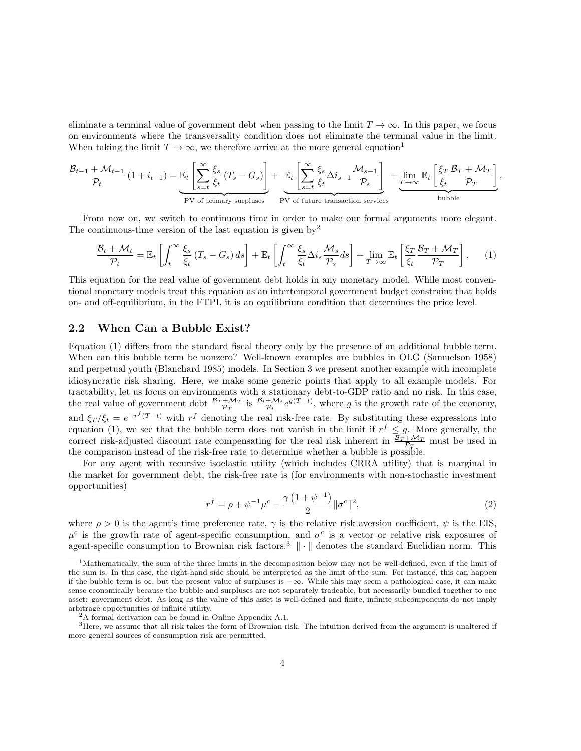eliminate a terminal value of government debt when passing to the limit  $T \to \infty$ . In this paper, we focus on environments where the transversality condition does not eliminate the terminal value in the limit. When taking the limit  $T \to \infty$ , we therefore arrive at the more general equation<sup>1</sup>

$$
\frac{\mathcal{B}_{t-1} + \mathcal{M}_{t-1}}{\mathcal{P}_t} \left(1 + i_{t-1}\right) = \underbrace{\mathbb{E}_t \left[ \sum_{s=t}^{\infty} \frac{\xi_s}{\xi_t} \left(T_s - G_s\right) \right]}_{\text{PV of primary surpluses}} + \underbrace{\mathbb{E}_t \left[ \sum_{s=t}^{\infty} \frac{\xi_s}{\xi_t} \Delta i_{s-1} \frac{\mathcal{M}_{s-1}}{\mathcal{P}_s} \right]}_{\text{PV of future transaction services}} + \underbrace{\lim_{T \to \infty} \mathbb{E}_t \left[ \frac{\xi_T}{\xi_t} \frac{\mathcal{B}_T + \mathcal{M}_T}{\mathcal{P}_T} \right]}_{\text{bubble}}.
$$

From now on, we switch to continuous time in order to make our formal arguments more elegant. The continuous-time version of the last equation is given by  $2^2$ 

$$
\frac{\mathcal{B}_t + \mathcal{M}_t}{\mathcal{P}_t} = \mathbb{E}_t \left[ \int_t^\infty \frac{\xi_s}{\xi_t} \left( T_s - G_s \right) ds \right] + \mathbb{E}_t \left[ \int_t^\infty \frac{\xi_s}{\xi_t} \Delta i_s \frac{\mathcal{M}_s}{\mathcal{P}_s} ds \right] + \lim_{T \to \infty} \mathbb{E}_t \left[ \frac{\xi_T}{\xi_t} \frac{\mathcal{B}_T + \mathcal{M}_T}{\mathcal{P}_T} \right]. \tag{1}
$$

This equation for the real value of government debt holds in any monetary model. While most conventional monetary models treat this equation as an intertemporal government budget constraint that holds on- and off-equilibrium, in the FTPL it is an equilibrium condition that determines the price level.

### 2.2 When Can a Bubble Exist?

Equation (1) differs from the standard fiscal theory only by the presence of an additional bubble term. When can this bubble term be nonzero? Well-known examples are bubbles in OLG (Samuelson 1958) and perpetual youth (Blanchard 1985) models. In Section 3 we present another example with incomplete idiosyncratic risk sharing. Here, we make some generic points that apply to all example models. For tractability, let us focus on environments with a stationary debt-to-GDP ratio and no risk. In this case, the real value of government debt  $\frac{B_T + \mathcal{M}_T}{\mathcal{P}_T}$  is  $\frac{B_t + \mathcal{M}_t}{\mathcal{P}_t} e^{g(T-t)}$ , where g is the growth rate of the economy, and  $\xi_T/\xi_t = e^{-r^f(T-t)}$  with  $r^f$  denoting the real risk-free rate. By substituting these expressions into equation (1), we see that the bubble term does not vanish in the limit if  $r^f \leq g$ . More generally, the correct risk-adjusted discount rate compensating for the real risk inherent in  $\frac{B_T + M_T}{P_T}$  must be used in the comparison instead of the risk-free rate to determine whether a bubble is possible.

For any agent with recursive isoelastic utility (which includes CRRA utility) that is marginal in the market for government debt, the risk-free rate is (for environments with non-stochastic investment opportunities)

$$
r^{f} = \rho + \psi^{-1} \mu^{c} - \frac{\gamma \left( 1 + \psi^{-1} \right)}{2} \|\sigma^{c}\|^{2},
$$
\n(2)

where  $\rho > 0$  is the agent's time preference rate,  $\gamma$  is the relative risk aversion coefficient,  $\psi$  is the EIS.  $\mu^c$  is the growth rate of agent-specific consumption, and  $\sigma^c$  is a vector or relative risk exposures of agent-specific consumption to Brownian risk factors.<sup>3</sup>  $\|\cdot\|$  denotes the standard Euclidian norm. This

<sup>&</sup>lt;sup>1</sup>Mathematically, the sum of the three limits in the decomposition below may not be well-defined, even if the limit of the sum is. In this case, the right-hand side should be interpreted as the limit of the sum. For instance, this can happen if the bubble term is  $\infty$ , but the present value of surpluses is  $-\infty$ . While this may seem a pathological case, it can make sense economically because the bubble and surpluses are not separately tradeable, but necessarily bundled together to one asset: government debt. As long as the value of this asset is well-defined and finite, infinite subcomponents do not imply arbitrage opportunities or infinite utility.

<sup>2</sup>A formal derivation can be found in Online Appendix A.1.

 $3$ Here, we assume that all risk takes the form of Brownian risk. The intuition derived from the argument is unaltered if more general sources of consumption risk are permitted.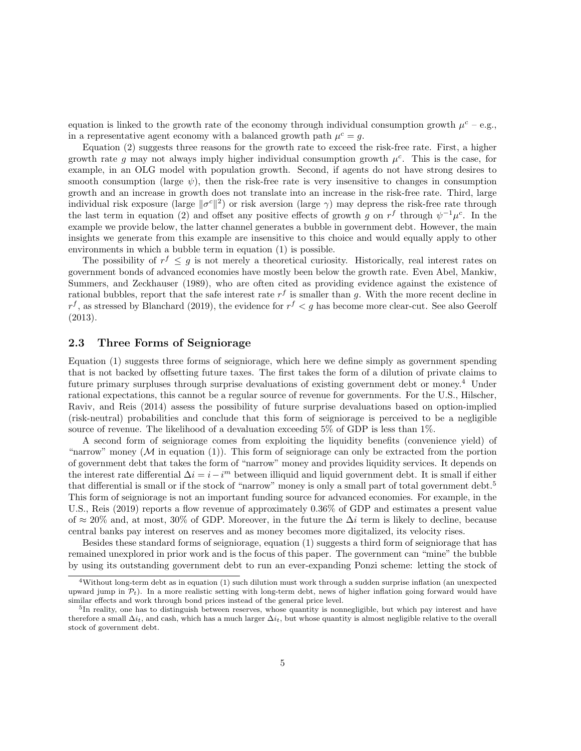equation is linked to the growth rate of the economy through individual consumption growth  $\mu^c$  – e.g., in a representative agent economy with a balanced growth path  $\mu^c = g$ .

Equation (2) suggests three reasons for the growth rate to exceed the risk-free rate. First, a higher growth rate g may not always imply higher individual consumption growth  $\mu^c$ . This is the case, for example, in an OLG model with population growth. Second, if agents do not have strong desires to smooth consumption (large  $\psi$ ), then the risk-free rate is very insensitive to changes in consumption growth and an increase in growth does not translate into an increase in the risk-free rate. Third, large individual risk exposure (large  $\|\sigma^c\|^2$ ) or risk aversion (large  $\gamma$ ) may depress the risk-free rate through the last term in equation (2) and offset any positive effects of growth g on  $r^f$  through  $\psi^{-1}\mu^c$ . In the example we provide below, the latter channel generates a bubble in government debt. However, the main insights we generate from this example are insensitive to this choice and would equally apply to other environments in which a bubble term in equation (1) is possible.

The possibility of  $r^f \leq g$  is not merely a theoretical curiosity. Historically, real interest rates on government bonds of advanced economies have mostly been below the growth rate. Even Abel, Mankiw, Summers, and Zeckhauser (1989), who are often cited as providing evidence against the existence of rational bubbles, report that the safe interest rate  $r<sup>f</sup>$  is smaller than g. With the more recent decline in  $r<sup>f</sup>$ , as stressed by Blanchard (2019), the evidence for  $r<sup>f</sup> < g$  has become more clear-cut. See also Geerolf (2013).

#### 2.3 Three Forms of Seigniorage

Equation (1) suggests three forms of seigniorage, which here we define simply as government spending that is not backed by offsetting future taxes. The first takes the form of a dilution of private claims to future primary surpluses through surprise devaluations of existing government debt or money.<sup>4</sup> Under rational expectations, this cannot be a regular source of revenue for governments. For the U.S., Hilscher, Raviv, and Reis (2014) assess the possibility of future surprise devaluations based on option-implied (risk-neutral) probabilities and conclude that this form of seigniorage is perceived to be a negligible source of revenue. The likelihood of a devaluation exceeding 5% of GDP is less than 1%.

A second form of seigniorage comes from exploiting the liquidity benefits (convenience yield) of "narrow" money  $(M \text{ in equation } (1))$ . This form of seigniorage can only be extracted from the portion of government debt that takes the form of "narrow" money and provides liquidity services. It depends on the interest rate differential  $\Delta i = i - i^m$  between illiquid and liquid government debt. It is small if either that differential is small or if the stock of "narrow" money is only a small part of total government debt.<sup>5</sup> This form of seigniorage is not an important funding source for advanced economies. For example, in the U.S., Reis (2019) reports a flow revenue of approximately 0.36% of GDP and estimates a present value of ≈ 20% and, at most, 30% of GDP. Moreover, in the future the  $\Delta i$  term is likely to decline, because central banks pay interest on reserves and as money becomes more digitalized, its velocity rises.

Besides these standard forms of seigniorage, equation (1) suggests a third form of seigniorage that has remained unexplored in prior work and is the focus of this paper. The government can "mine" the bubble by using its outstanding government debt to run an ever-expanding Ponzi scheme: letting the stock of

<sup>4</sup>Without long-term debt as in equation (1) such dilution must work through a sudden surprise inflation (an unexpected upward jump in  $\mathcal{P}_t$ ). In a more realistic setting with long-term debt, news of higher inflation going forward would have similar effects and work through bond prices instead of the general price level.

<sup>&</sup>lt;sup>5</sup>In reality, one has to distinguish between reserves, whose quantity is nonnegligible, but which pay interest and have therefore a small  $\Delta i_t$ , and cash, which has a much larger  $\Delta i_t$ , but whose quantity is almost negligible relative to the overall stock of government debt.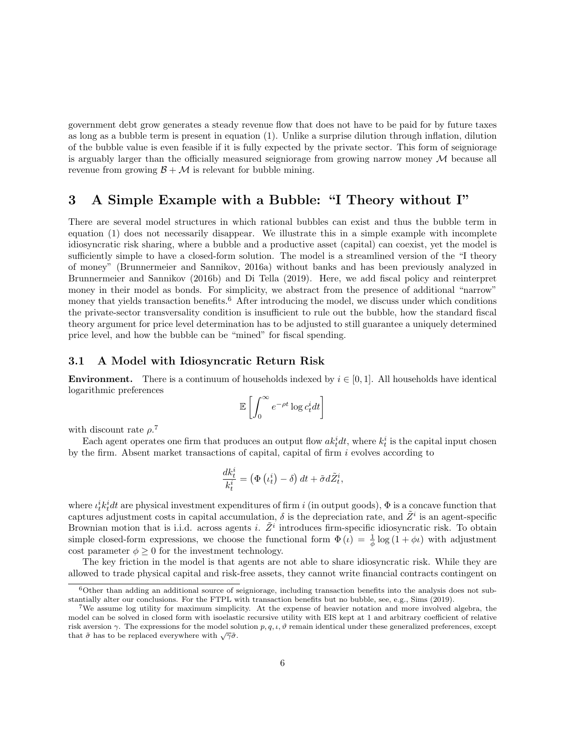government debt grow generates a steady revenue flow that does not have to be paid for by future taxes as long as a bubble term is present in equation (1). Unlike a surprise dilution through inflation, dilution of the bubble value is even feasible if it is fully expected by the private sector. This form of seigniorage is arguably larger than the officially measured seigniorage from growing narrow money  $\mathcal M$  because all revenue from growing  $\mathcal{B} + \mathcal{M}$  is relevant for bubble mining.

### 3 A Simple Example with a Bubble: "I Theory without I"

There are several model structures in which rational bubbles can exist and thus the bubble term in equation (1) does not necessarily disappear. We illustrate this in a simple example with incomplete idiosyncratic risk sharing, where a bubble and a productive asset (capital) can coexist, yet the model is sufficiently simple to have a closed-form solution. The model is a streamlined version of the "I theory of money" (Brunnermeier and Sannikov, 2016a) without banks and has been previously analyzed in Brunnermeier and Sannikov (2016b) and Di Tella (2019). Here, we add fiscal policy and reinterpret money in their model as bonds. For simplicity, we abstract from the presence of additional "narrow" money that yields transaction benefits.<sup>6</sup> After introducing the model, we discuss under which conditions the private-sector transversality condition is insufficient to rule out the bubble, how the standard fiscal theory argument for price level determination has to be adjusted to still guarantee a uniquely determined price level, and how the bubble can be "mined" for fiscal spending.

#### 3.1 A Model with Idiosyncratic Return Risk

**Environment.** There is a continuum of households indexed by  $i \in [0, 1]$ . All households have identical logarithmic preferences

$$
\mathbb{E}\left[\int_0^\infty e^{-\rho t} \log c_t^i dt\right]
$$

with discount rate  $\rho$ <sup>7</sup>

Each agent operates one firm that produces an output flow  $ak<sub>t</sub><sup>i</sup> dt$ , where  $k<sub>t</sub><sup>i</sup>$  is the capital input chosen by the firm. Absent market transactions of capital, capital of firm  $i$  evolves according to

$$
\frac{dk_t^i}{k_t^i} = \left(\Phi\left(\iota_t^i\right) - \delta\right)dt + \tilde{\sigma}d\tilde{Z}_t^i,
$$

where  $\iota_k^i k_t^i dt$  are physical investment expenditures of firm i (in output goods),  $\Phi$  is a concave function that captures adjustment costs in capital accumulation,  $\delta$  is the depreciation rate, and  $\tilde{Z}^i$  is an agent-specific Brownian motion that is i.i.d. across agents i.  $\tilde{Z}^i$  introduces firm-specific idiosyncratic risk. To obtain simple closed-form expressions, we choose the functional form  $\Phi(\iota) = \frac{1}{\phi} \log(1 + \phi \iota)$  with adjustment cost parameter  $\phi \geq 0$  for the investment technology.

The key friction in the model is that agents are not able to share idiosyncratic risk. While they are allowed to trade physical capital and risk-free assets, they cannot write financial contracts contingent on

 $6$ Other than adding an additional source of seigniorage, including transaction benefits into the analysis does not substantially alter our conclusions. For the FTPL with transaction benefits but no bubble, see, e.g., Sims (2019).

<sup>7</sup>We assume log utility for maximum simplicity. At the expense of heavier notation and more involved algebra, the model can be solved in closed form with isoelastic recursive utility with EIS kept at 1 and arbitrary coefficient of relative risk aversion γ. The expressions for the model solution  $p, q, \iota, \vartheta$  remain identical under these generalized preferences, except that  $\tilde{\sigma}$  has to be replaced everywhere with  $\sqrt{\gamma} \tilde{\sigma}$ .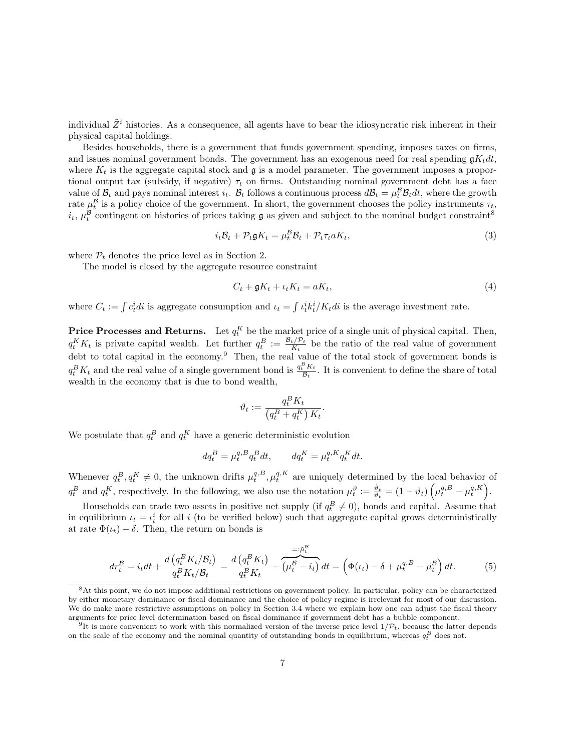individual  $\tilde{Z}^i$  histories. As a consequence, all agents have to bear the idiosyncratic risk inherent in their physical capital holdings.

Besides households, there is a government that funds government spending, imposes taxes on firms, and issues nominal government bonds. The government has an exogenous need for real spending  $\mathfrak{g}K_tdt$ , where  $K_t$  is the aggregate capital stock and  $\mathfrak g$  is a model parameter. The government imposes a proportional output tax (subsidy, if negative)  $\tau_t$  on firms. Outstanding nominal government debt has a face value of  $B_t$  and pays nominal interest  $i_t$ .  $B_t$  follows a continuous process  $dB_t = \mu_t^B B_t dt$ , where the growth rate  $\mu_t^{\mathcal{B}}$  is a policy choice of the government. In short, the government chooses the policy instruments  $\tau_t$ ,  $i_t$ ,  $\mu_t^{\mathcal{B}}$  contingent on histories of prices taking  $\mathfrak{g}$  as given and subject to the nominal budget constraint<sup>8</sup>

$$
i_t \mathcal{B}_t + \mathcal{P}_t \mathfrak{g} K_t = \mu_t^{\mathcal{B}} \mathcal{B}_t + \mathcal{P}_t \tau_t a K_t, \tag{3}
$$

where  $P_t$  denotes the price level as in Section 2.

The model is closed by the aggregate resource constraint

$$
C_t + \mathfrak{g}K_t + \iota_t K_t = aK_t,\tag{4}
$$

where  $C_t := \int c_t^i dt$  is aggregate consumption and  $\iota_t = \int c_t^i k_t^i / K_t dt$  is the average investment rate.

**Price Processes and Returns.** Let  $q_t^K$  be the market price of a single unit of physical capital. Then,  $q_t^K K_t$  is private capital wealth. Let further  $q_t^B := \frac{\mathcal{B}_t/\mathcal{P}_t}{K_t}$  $\frac{t/P_t}{K_t}$  be the ratio of the real value of government debt to total capital in the economy.<sup>9</sup> Then, the real value of the total stock of government bonds is  $q_t^B K_t$  and the real value of a single government bond is  $\frac{q_t^B K_t}{B_t}$ . It is convenient to define the share of total wealth in the economy that is due to bond wealth,

$$
\vartheta_t := \frac{q_t^B K_t}{\left(q_t^B + q_t^K\right)K_t}
$$

.

We postulate that  $q_t^B$  and  $q_t^K$  have a generic deterministic evolution

$$
dq_t^B = \mu_t^{q,B} q_t^B dt, \qquad dq_t^K = \mu_t^{q,K} q_t^K dt.
$$

Whenever  $q_t^B, q_t^K \neq 0$ , the unknown drifts  $\mu_t^{q,B}, \mu_t^{q,K}$  are uniquely determined by the local behavior of  $q_t^B$  and  $q_t^K$ , respectively. In the following, we also use the notation  $\mu_t^{\vartheta} := \frac{\dot{\vartheta}_t}{\vartheta_t} = (1 - \vartheta_t) \left( \mu_t^{q, B} - \mu_t^{q, K} \right)$ .

Households can trade two assets in positive net supply (if  $q_t^B \neq 0$ ), bonds and capital. Assume that in equilibrium  $\iota_t = \iota_t^i$  for all i (to be verified below) such that aggregate capital grows deterministically at rate  $\Phi(t_t) - \delta$ . Then, the return on bonds is

$$
dr_t^{\mathcal{B}} = i_t dt + \frac{d \left( q_t^B K_t / \mathcal{B}_t \right)}{q_t^B K_t / \mathcal{B}_t} = \frac{d \left( q_t^B K_t \right)}{q_t^B K_t} - \overbrace{\left( \mu_t^{\mathcal{B}} - i_t \right)}^{=: \mu_t^{\mathcal{B}}} dt = \left( \Phi(\iota_t) - \delta + \mu_t^{q, B} - \breve{\mu}_t^{\mathcal{B}} \right) dt. \tag{5}
$$

<sup>8</sup>At this point, we do not impose additional restrictions on government policy. In particular, policy can be characterized by either monetary dominance or fiscal dominance and the choice of policy regime is irrelevant for most of our discussion. We do make more restrictive assumptions on policy in Section 3.4 where we explain how one can adjust the fiscal theory arguments for price level determination based on fiscal dominance if government debt has a bubble component.

<sup>&</sup>lt;sup>9</sup>It is more convenient to work with this normalized version of the inverse price level  $1/\mathcal{P}_t$ , because the latter depends on the scale of the economy and the nominal quantity of outstanding bonds in equilibrium, whereas  $q_t^B$  does not.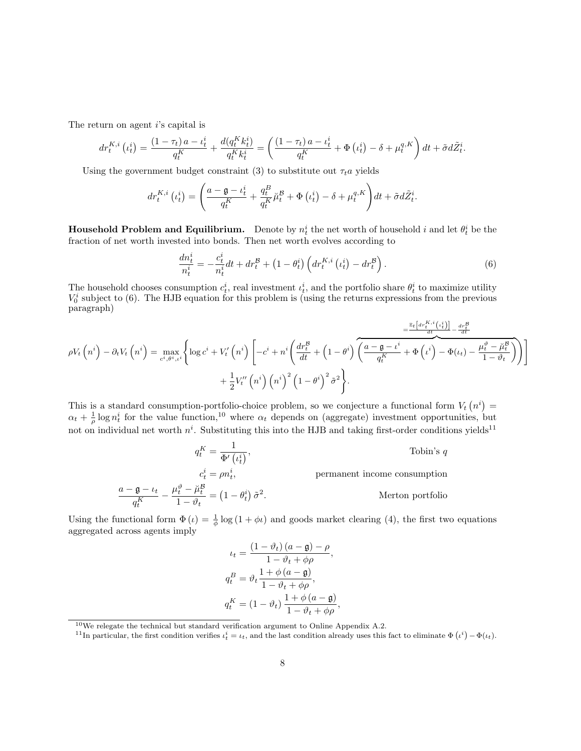The return on agent  $i$ 's capital is

$$
dr_t^{K,i} (t_t^i) = \frac{(1 - \tau_t) a - t_t^i}{q_t^K} + \frac{d(q_t^K k_t^i)}{q_t^K k_t^i} = \left(\frac{(1 - \tau_t) a - t_t^i}{q_t^K} + \Phi(t_t^i) - \delta + \mu_t^{q,K}\right) dt + \tilde{\sigma} d\tilde{Z}_t^i.
$$

Using the government budget constraint (3) to substitute out  $\tau_t a$  yields

$$
dr_t^{K,i} \left( \iota_t^i \right) = \left( \frac{a - \mathfrak{g} - \iota_t^i}{q_t^K} + \frac{q_t^B}{q_t^K} \breve{\mu}_t^{\mathcal{B}} + \Phi \left( \iota_t^i \right) - \delta + \mu_t^{q,K} \right) dt + \tilde{\sigma} d\tilde{Z}_t^i.
$$

**Household Problem and Equilibrium.** Denote by  $n_t^i$  the net worth of household i and let  $\theta_t^i$  be the fraction of net worth invested into bonds. Then net worth evolves according to

$$
\frac{dn_t^i}{n_t^i} = -\frac{c_t^i}{n_t^i}dt + dr_t^{\mathcal{B}} + \left(1 - \theta_t^i\right) \left(dr_t^{K,i}\left(\iota_t^i\right) - dr_t^{\mathcal{B}}\right). \tag{6}
$$

The household chooses consumption  $c_t^i$ , real investment  $\iota_t^i$ , and the portfolio share  $\theta_t^i$  to maximize utility  $V_0^i$  subject to (6). The HJB equation for this problem is (using the returns expressions from the previous paragraph)

$$
\rho V_t\left(n^i\right) - \partial_t V_t\left(n^i\right) = \max_{c^i, \theta^i, \iota^i} \left\{ \log c^i + V'_t\left(n^i\right) \left[ -c^i + n^i \left( \frac{dr_t^B}{dt} + \left(1 - \theta^i\right) \overline{\left( \frac{a - \mathfrak{g} - \iota^i}{q_t^k} + \Phi\left(\iota^i\right) - \Phi(\iota_t) - \frac{\mu_t^{\vartheta} - \breve{\mu}_t^B}{1 - \vartheta_t} \right)} \right) \right] + \frac{1}{2} V'_t'\left(n^i\right) \left(n^i\right)^2 \left(1 - \theta^i\right)^2 \tilde{\sigma}^2 \right\}.
$$

This is a standard consumption-portfolio-choice problem, so we conjecture a functional form  $V_t(n^i)$  $\alpha_t + \frac{1}{\rho} \log n_t^i$  for the value function,<sup>10</sup> where  $\alpha_t$  depends on (aggregate) investment opportunities, but not on individual net worth  $n^i$ . Substituting this into the HJB and taking first-order conditions yields<sup>11</sup>

$$
q_t^K = \frac{1}{\Phi'\left(\iota_t^i\right)},
$$
 Tobin's  $q$   

$$
c_t^i = \rho n_t^i,
$$
 permanent income consumption  

$$
\frac{a - \mathfrak{g} - \iota_t}{q_t^K} - \frac{\mu_t^{\vartheta} - \breve{\mu}_t^{\mathcal{B}}}{1 - \vartheta_t} = \left(1 - \theta_t^i\right)\tilde{\sigma}^2.
$$
Merton portfolio

Using the functional form  $\Phi(\iota) = \frac{1}{\phi} \log(1 + \phi \iota)$  and goods market clearing (4), the first two equations aggregated across agents imply

$$
\iota_t = \frac{(1 - \vartheta_t) (a - \mathfrak{g}) - \rho}{1 - \vartheta_t + \phi \rho},
$$
  
\n
$$
q_t^B = \vartheta_t \frac{1 + \phi (a - \mathfrak{g})}{1 - \vartheta_t + \phi \rho},
$$
  
\n
$$
q_t^K = (1 - \vartheta_t) \frac{1 + \phi (a - \mathfrak{g})}{1 - \vartheta_t + \phi \rho},
$$

 $10$ We relegate the technical but standard verification argument to Online Appendix A.2.

<sup>&</sup>lt;sup>11</sup>In particular, the first condition verifies  $\iota_t^i = \iota_t$ , and the last condition already uses this fact to eliminate  $\Phi(\iota^i) - \Phi(\iota_t)$ .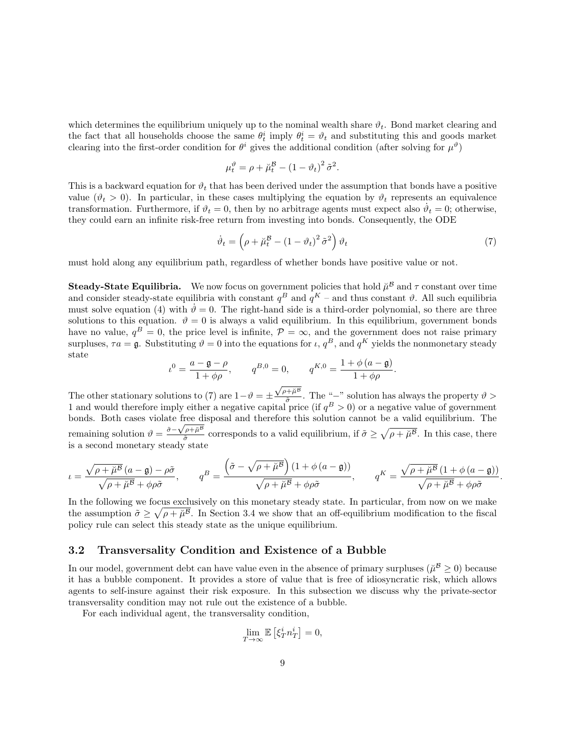which determines the equilibrium uniquely up to the nominal wealth share  $\vartheta_t$ . Bond market clearing and the fact that all households choose the same  $\theta_t^i$  imply  $\theta_t^i = \theta_t$  and substituting this and goods market clearing into the first-order condition for  $\theta^i$  gives the additional condition (after solving for  $\mu^{\vartheta}$ )

$$
\mu_t^{\vartheta} = \rho + \breve{\mu}_t^{\mathcal{B}} - (1 - \vartheta_t)^2 \tilde{\sigma}^2
$$

This is a backward equation for  $\vartheta_t$  that has been derived under the assumption that bonds have a positive value ( $\vartheta_t > 0$ ). In particular, in these cases multiplying the equation by  $\vartheta_t$  represents an equivalence transformation. Furthermore, if  $\vartheta_t = 0$ , then by no arbitrage agents must expect also  $\dot{\vartheta}_t = 0$ ; otherwise, they could earn an infinite risk-free return from investing into bonds. Consequently, the ODE

$$
\dot{\vartheta}_t = \left(\rho + \breve{\mu}_t^{\mathcal{B}} - \left(1 - \vartheta_t\right)^2 \tilde{\sigma}^2\right) \vartheta_t \tag{7}
$$

.

.

must hold along any equilibrium path, regardless of whether bonds have positive value or not.

**Steady-State Equilibria.** We now focus on government policies that hold  $\breve{\mu}^B$  and  $\tau$  constant over time and consider steady-state equilibria with constant  $q^B$  and  $q^K$  – and thus constant  $\vartheta$ . All such equilibria must solve equation (4) with  $\dot{\theta} = 0$ . The right-hand side is a third-order polynomial, so there are three solutions to this equation.  $\vartheta = 0$  is always a valid equilibrium. In this equilibrium, government bonds have no value,  $q^B = 0$ , the price level is infinite,  $P = \infty$ , and the government does not raise primary surpluses,  $\tau a = \mathfrak{g}$ . Substituting  $\vartheta = 0$  into the equations for  $\iota$ ,  $q^B$ , and  $q^K$  yields the nonmonetary steady state

$$
\iota^{0} = \frac{a - \mathfrak{g} - \rho}{1 + \phi \rho}, \qquad q^{B,0} = 0, \qquad q^{K,0} = \frac{1 + \phi(a - \mathfrak{g})}{1 + \phi \rho}.
$$

The other stationary solutions to (7) are  $1-\vartheta = \pm$  $\sqrt{\rho + \breve{\mu}^{\mathcal{B}}}$  $\frac{a^2 + \mu^2}{\tilde{\sigma}}$ . The "-" solution has always the property  $\vartheta >$ 1 and would therefore imply either a negative capital price (if  $q^B > 0$ ) or a negative value of government bonds. Both cases violate free disposal and therefore this solution cannot be a valid equilibrium. The remaining solution  $\vartheta = \frac{\tilde{\sigma} - \sqrt{\rho + \tilde{\mu}^B}}{\tilde{\sigma}}$  $\frac{\partial \rho + \tilde{\mu}^B}{\partial \tilde{\sigma}}$  corresponds to a valid equilibrium, if  $\tilde{\sigma} \ge \sqrt{\rho + \tilde{\mu}^B}$ . In this case, there is a second monetary steady state

$$
\iota = \frac{\sqrt{\rho + \breve{\mu}^{\mathcal{B}}}(a - \mathfrak{g}) - \rho\tilde{\sigma}}{\sqrt{\rho + \breve{\mu}^{\mathcal{B}}} + \phi\rho\tilde{\sigma}}, \qquad q^B = \frac{\left(\tilde{\sigma} - \sqrt{\rho + \breve{\mu}^{\mathcal{B}}}\right)(1 + \phi(a - \mathfrak{g}))}{\sqrt{\rho + \breve{\mu}^{\mathcal{B}}} + \phi\rho\tilde{\sigma}}, \qquad q^K = \frac{\sqrt{\rho + \breve{\mu}^{\mathcal{B}}}(1 + \phi(a - \mathfrak{g}))}{\sqrt{\rho + \breve{\mu}^{\mathcal{B}}} + \phi\rho\tilde{\sigma}}
$$

In the following we focus exclusively on this monetary steady state. In particular, from now on we make the assumption  $\tilde{\sigma} \geq \sqrt{\rho + \tilde{\mu}^B}$ . In Section 3.4 we show that an off-equilibrium modification to the fiscal policy rule can select this steady state as the unique equilibrium.

#### 3.2 Transversality Condition and Existence of a Bubble

In our model, government debt can have value even in the absence of primary surpluses ( $\ddot{\mu}^{\mathcal{B}} \ge 0$ ) because it has a bubble component. It provides a store of value that is free of idiosyncratic risk, which allows agents to self-insure against their risk exposure. In this subsection we discuss why the private-sector transversality condition may not rule out the existence of a bubble.

For each individual agent, the transversality condition,

$$
\lim_{T \to \infty} \mathbb{E} \left[ \xi_T^i n_T^i \right] = 0,
$$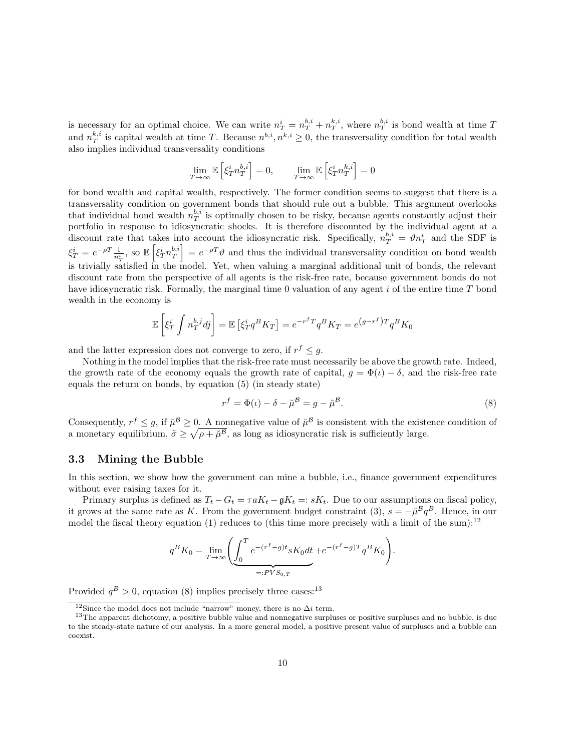is necessary for an optimal choice. We can write  $n_T^i = n_T^{b,i} + n_T^{k,i}$ , where  $n_T^{b,i}$  is bond wealth at time T and  $n_T^{k,i}$  is capital wealth at time T. Because  $n^{b,i}, n^{k,i} \geq 0$ , the transversality condition for total wealth also implies individual transversality conditions

$$
\lim_{T \to \infty} \mathbb{E} \left[ \xi_T^i n_T^{b,i} \right] = 0, \qquad \lim_{T \to \infty} \mathbb{E} \left[ \xi_T^i n_T^{k,i} \right] = 0
$$

for bond wealth and capital wealth, respectively. The former condition seems to suggest that there is a transversality condition on government bonds that should rule out a bubble. This argument overlooks that individual bond wealth  $n_T^{b,i}$  is optimally chosen to be risky, because agents constantly adjust their portfolio in response to idiosyncratic shocks. It is therefore discounted by the individual agent at a discount rate that takes into account the idiosyncratic risk. Specifically,  $n_T^{b,i} = \vartheta n_T^i$  and the SDF is  $\xi_T^i = e^{-\rho T} \frac{1}{n_T^i}$ , so  $\mathbb{E} \left[ \xi_T^i n_T^{b,i} \right] = e^{-\rho T} \vartheta$  and thus the individual transversality condition on bond wealth is trivially satisfied in the model. Yet, when valuing a marginal additional unit of bonds, the relevant discount rate from the perspective of all agents is the risk-free rate, because government bonds do not have idiosyncratic risk. Formally, the marginal time 0 valuation of any agent  $i$  of the entire time  $T$  bond wealth in the economy is

$$
\mathbb{E}\left[\xi_T^i \int n_T^{b,j} d\mathbf{j}\right] = \mathbb{E}\left[\xi_T^i q^B K_T\right] = e^{-r^f T} q^B K_T = e^{(g-r^f)T} q^B K_0
$$

and the latter expression does not converge to zero, if  $r^f \leq g$ .

Nothing in the model implies that the risk-free rate must necessarily be above the growth rate. Indeed, the growth rate of the economy equals the growth rate of capital,  $g = \Phi(t) - \delta$ , and the risk-free rate equals the return on bonds, by equation (5) (in steady state)

$$
r^f = \Phi(\iota) - \delta - \breve{\mu}^{\mathcal{B}} = g - \breve{\mu}^{\mathcal{B}}.
$$
\n(8)

Consequently,  $r^f \leq g$ , if  $\mu^g \geq 0$ . A nonnegative value of  $\mu^g$  is consistent with the existence condition of a monetary equilibrium,  $\tilde{\sigma} \geq \sqrt{\rho + \tilde{\mu}^B}$ , as long as idiosyncratic risk is sufficiently large.

#### 3.3 Mining the Bubble

In this section, we show how the government can mine a bubble, i.e., finance government expenditures without ever raising taxes for it.

Primary surplus is defined as  $T_t - G_t = \tau a K_t - \mathfrak{g} K_t =: sK_t$ . Due to our assumptions on fiscal policy, it grows at the same rate as K. From the government budget constraint (3),  $s = -\mu^B q^B$ . Hence, in our model the fiscal theory equation (1) reduces to (this time more precisely with a limit of the sum):<sup>12</sup>

$$
q^B K_0 = \lim_{T \to \infty} \left( \underbrace{\int_0^T e^{-(r^f - g)t} s K_0 dt}_{=:PV S_{0,T}} + e^{-(r^f - g)T} q^B K_0 \right).
$$

Provided  $q^B > 0$ , equation (8) implies precisely three cases:<sup>13</sup>

<sup>&</sup>lt;sup>12</sup>Since the model does not include "narrow" money, there is no  $\Delta i$  term.

<sup>&</sup>lt;sup>13</sup>The apparent dichotomy, a positive bubble value and nonnegative surpluses or positive surpluses and no bubble, is due to the steady-state nature of our analysis. In a more general model, a positive present value of surpluses and a bubble can coexist.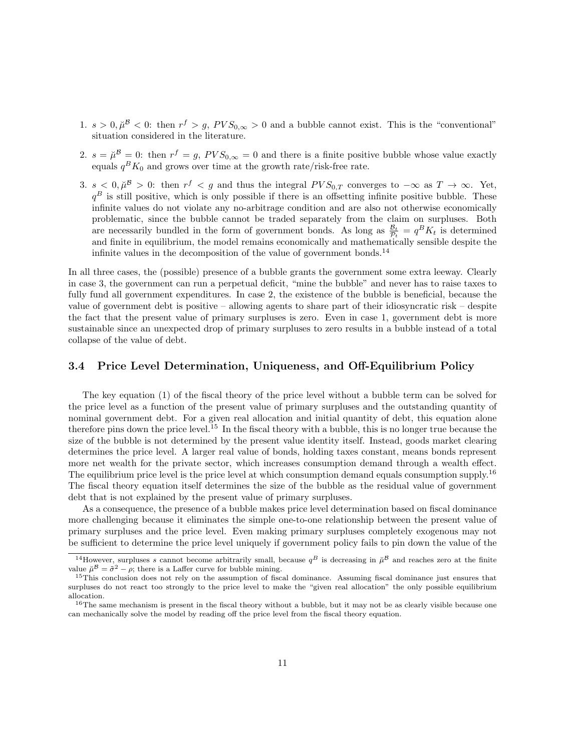- 1.  $s > 0$ ,  $\mu^{\mathcal{B}} < 0$ : then  $r^f > g$ ,  $PVS_{0,\infty} > 0$  and a bubble cannot exist. This is the "conventional" situation considered in the literature.
- 2.  $s = \mu^{\mathcal{B}} = 0$ : then  $r^f = g$ ,  $PVS_{0,\infty} = 0$  and there is a finite positive bubble whose value exactly equals  $q<sup>B</sup> K<sub>0</sub>$  and grows over time at the growth rate/risk-free rate.
- 3.  $s < 0, \tilde{\mu}^{\mathcal{B}} > 0$ : then  $r^f < g$  and thus the integral  $PVS_{0,T}$  converges to  $-\infty$  as  $T \to \infty$ . Yet,  $q<sup>B</sup>$  is still positive, which is only possible if there is an offsetting infinite positive bubble. These infinite values do not violate any no-arbitrage condition and are also not otherwise economically problematic, since the bubble cannot be traded separately from the claim on surpluses. Both are necessarily bundled in the form of government bonds. As long as  $\frac{B_t}{P_t} = q^B K_t$  is determined and finite in equilibrium, the model remains economically and mathematically sensible despite the infinite values in the decomposition of the value of government bonds.<sup>14</sup>

In all three cases, the (possible) presence of a bubble grants the government some extra leeway. Clearly in case 3, the government can run a perpetual deficit, "mine the bubble" and never has to raise taxes to fully fund all government expenditures. In case 2, the existence of the bubble is beneficial, because the value of government debt is positive – allowing agents to share part of their idiosyncratic risk – despite the fact that the present value of primary surpluses is zero. Even in case 1, government debt is more sustainable since an unexpected drop of primary surpluses to zero results in a bubble instead of a total collapse of the value of debt.

#### 3.4 Price Level Determination, Uniqueness, and Off-Equilibrium Policy

The key equation (1) of the fiscal theory of the price level without a bubble term can be solved for the price level as a function of the present value of primary surpluses and the outstanding quantity of nominal government debt. For a given real allocation and initial quantity of debt, this equation alone therefore pins down the price level.<sup>15</sup> In the fiscal theory with a bubble, this is no longer true because the size of the bubble is not determined by the present value identity itself. Instead, goods market clearing determines the price level. A larger real value of bonds, holding taxes constant, means bonds represent more net wealth for the private sector, which increases consumption demand through a wealth effect. The equilibrium price level is the price level at which consumption demand equals consumption supply.<sup>16</sup> The fiscal theory equation itself determines the size of the bubble as the residual value of government debt that is not explained by the present value of primary surpluses.

As a consequence, the presence of a bubble makes price level determination based on fiscal dominance more challenging because it eliminates the simple one-to-one relationship between the present value of primary surpluses and the price level. Even making primary surpluses completely exogenous may not be sufficient to determine the price level uniquely if government policy fails to pin down the value of the

<sup>&</sup>lt;sup>14</sup>However, surpluses s cannot become arbitrarily small, because  $q^B$  is decreasing in  $\tilde{\mu}^B$  and reaches zero at the finite value  $\tilde{\mu}^{\mathcal{B}} = \tilde{\sigma}^2 - \rho$ ; there is a Laffer curve for bubble mining.

<sup>&</sup>lt;sup>15</sup>This conclusion does not rely on the assumption of fiscal dominance. Assuming fiscal dominance just ensures that surpluses do not react too strongly to the price level to make the "given real allocation" the only possible equilibrium allocation.

 $16$ The same mechanism is present in the fiscal theory without a bubble, but it may not be as clearly visible because one can mechanically solve the model by reading off the price level from the fiscal theory equation.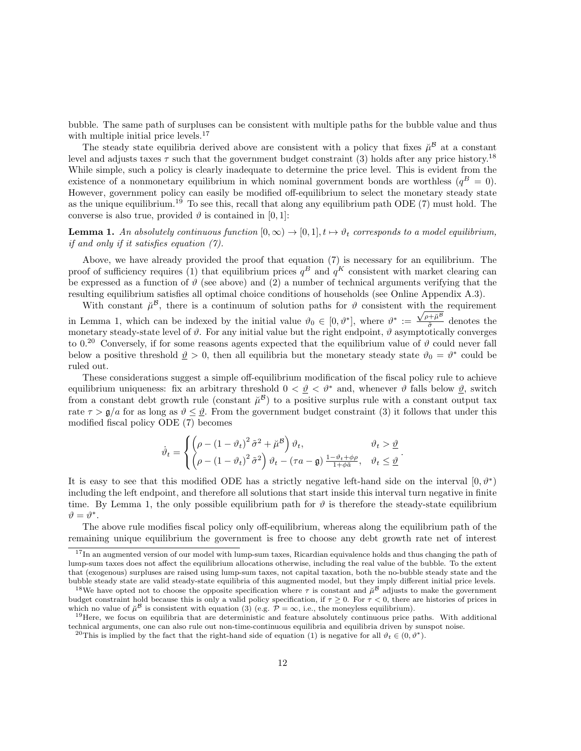bubble. The same path of surpluses can be consistent with multiple paths for the bubble value and thus with multiple initial price levels.<sup>17</sup>

The steady state equilibria derived above are consistent with a policy that fixes  $\mu^{\mathcal{B}}$  at a constant level and adjusts taxes  $\tau$  such that the government budget constraint (3) holds after any price history.<sup>18</sup> While simple, such a policy is clearly inadequate to determine the price level. This is evident from the existence of a nonmonetary equilibrium in which nominal government bonds are worthless  $(q^B = 0)$ . However, government policy can easily be modified off-equilibrium to select the monetary steady state as the unique equilibrium.<sup>19</sup> To see this, recall that along any equilibrium path ODE  $(7)$  must hold. The converse is also true, provided  $\vartheta$  is contained in [0, 1]:

**Lemma 1.** An absolutely continuous function  $[0, \infty) \to [0, 1], t \mapsto \vartheta_t$  corresponds to a model equilibrium, if and only if it satisfies equation (7).

Above, we have already provided the proof that equation (7) is necessary for an equilibrium. The proof of sufficiency requires (1) that equilibrium prices  $q^B$  and  $q^K$  consistent with market clearing can be expressed as a function of  $\vartheta$  (see above) and (2) a number of technical arguments verifying that the resulting equilibrium satisfies all optimal choice conditions of households (see Online Appendix A.3).

With constant  $\mu^{\mathcal{B}}$ , there is a continuum of solution paths for  $\vartheta$  consistent with the requirement in Lemma 1, which can be indexed by the initial value  $\vartheta_0 \in [0, \vartheta^*]$ , where  $\vartheta^* := \frac{\sqrt{\rho + \breve{\mu}^{\beta}}}{\tilde{\sigma}}$  $\frac{\partial^{\pi} \mu}{\partial \sigma}$  denotes the monetary steady-state level of  $\vartheta$ . For any initial value but the right endpoint,  $\vartheta$  asymptotically converges to 0.<sup>20</sup> Conversely, if for some reasons agents expected that the equilibrium value of  $\vartheta$  could never fall below a positive threshold  $\hat{v} > 0$ , then all equilibria but the monetary steady state  $\hat{v}_0 = \hat{v}^*$  could be ruled out.

These considerations suggest a simple off-equilibrium modification of the fiscal policy rule to achieve equilibrium uniqueness: fix an arbitrary threshold  $0 < \vartheta < \vartheta^*$  and, whenever  $\vartheta$  falls below  $\vartheta$ , switch from a constant debt growth rule (constant  $\check{\mu}^{\mathcal{B}}$ ) to a positive surplus rule with a constant output tax rate  $\tau > g/a$  for as long as  $\vartheta \leq \vartheta$ . From the government budget constraint (3) it follows that under this modified fiscal policy ODE (7) becomes

$$
\dot{\vartheta}_t = \begin{cases} \left(\rho - \left(1 - \vartheta_t\right)^2 \tilde{\sigma}^2 + \breve{\mu}^B\right) \vartheta_t, & \vartheta_t > \underline{\vartheta} \\ \left(\rho - \left(1 - \vartheta_t\right)^2 \tilde{\sigma}^2\right) \vartheta_t - \left(\tau a - \mathfrak{g}\right) \frac{1 - \vartheta_t + \varphi \rho}{1 + \varphi \breve{a}}, & \vartheta_t \le \underline{\vartheta} \end{cases}.
$$

It is easy to see that this modified ODE has a strictly negative left-hand side on the interval  $[0, \vartheta^*)$ including the left endpoint, and therefore all solutions that start inside this interval turn negative in finite time. By Lemma 1, the only possible equilibrium path for  $\vartheta$  is therefore the steady-state equilibrium  $\vartheta = \vartheta^*$ .

The above rule modifies fiscal policy only off-equilibrium, whereas along the equilibrium path of the remaining unique equilibrium the government is free to choose any debt growth rate net of interest

<sup>&</sup>lt;sup>17</sup>In an augmented version of our model with lump-sum taxes, Ricardian equivalence holds and thus changing the path of lump-sum taxes does not affect the equilibrium allocations otherwise, including the real value of the bubble. To the extent that (exogenous) surpluses are raised using lump-sum taxes, not capital taxation, both the no-bubble steady state and the bubble steady state are valid steady-state equilibria of this augmented model, but they imply different initial price levels.

<sup>&</sup>lt;sup>18</sup>We have opted not to choose the opposite specification where  $\tau$  is constant and  $\tilde{\mu}^B$  adjusts to make the government budget constraint hold because this is only a valid policy specification, if  $\tau \geq 0$ . For  $\tau < 0$ , there are histories of prices in which no value of  $\check{\mu}^{\mathcal{B}}$  is consistent with equation (3) (e.g.  $\mathcal{P} = \infty$ , i.e., the moneyless equilibrium).

<sup>&</sup>lt;sup>19</sup>Here, we focus on equilibria that are deterministic and feature absolutely continuous price paths. With additional technical arguments, one can also rule out non-time-continuous equilibria and equilibria driven by sunspot noise.

<sup>&</sup>lt;sup>20</sup>This is implied by the fact that the right-hand side of equation (1) is negative for all  $\vartheta_t \in (0, \vartheta^*)$ .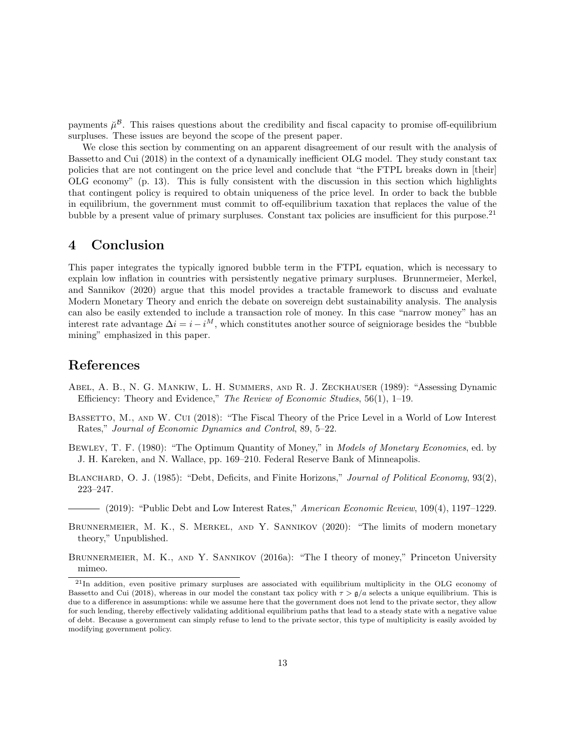payments  $\mu^g$ . This raises questions about the credibility and fiscal capacity to promise off-equilibrium surpluses. These issues are beyond the scope of the present paper.

We close this section by commenting on an apparent disagreement of our result with the analysis of Bassetto and Cui (2018) in the context of a dynamically inefficient OLG model. They study constant tax policies that are not contingent on the price level and conclude that "the FTPL breaks down in [their] OLG economy" (p. 13). This is fully consistent with the discussion in this section which highlights that contingent policy is required to obtain uniqueness of the price level. In order to back the bubble in equilibrium, the government must commit to off-equilibrium taxation that replaces the value of the bubble by a present value of primary surpluses. Constant tax policies are insufficient for this purpose.<sup>21</sup>

### 4 Conclusion

This paper integrates the typically ignored bubble term in the FTPL equation, which is necessary to explain low inflation in countries with persistently negative primary surpluses. Brunnermeier, Merkel, and Sannikov (2020) argue that this model provides a tractable framework to discuss and evaluate Modern Monetary Theory and enrich the debate on sovereign debt sustainability analysis. The analysis can also be easily extended to include a transaction role of money. In this case "narrow money" has an interest rate advantage  $\Delta i = i - i^M$ , which constitutes another source of seigniorage besides the "bubble" mining" emphasized in this paper.

### References

- Abel, A. B., N. G. Mankiw, L. H. Summers, and R. J. Zeckhauser (1989): "Assessing Dynamic Efficiency: Theory and Evidence," The Review of Economic Studies, 56(1), 1–19.
- BASSETTO, M., AND W. CUI (2018): "The Fiscal Theory of the Price Level in a World of Low Interest Rates," Journal of Economic Dynamics and Control, 89, 5–22.
- BEWLEY, T. F. (1980): "The Optimum Quantity of Money," in *Models of Monetary Economies*, ed. by J. H. Kareken, and N. Wallace, pp. 169–210. Federal Reserve Bank of Minneapolis.
- BLANCHARD, O. J. (1985): "Debt, Deficits, and Finite Horizons," Journal of Political Economy, 93(2), 223–247.
	- $-$  (2019): "Public Debt and Low Interest Rates," American Economic Review, 109(4), 1197–1229.
- BRUNNERMEIER, M. K., S. MERKEL, AND Y. SANNIKOV (2020): "The limits of modern monetary theory," Unpublished.

BRUNNERMEIER, M. K., AND Y. SANNIKOV (2016a): "The I theory of money," Princeton University mimeo.

<sup>&</sup>lt;sup>21</sup>In addition, even positive primary surpluses are associated with equilibrium multiplicity in the OLG economy of Bassetto and Cui (2018), whereas in our model the constant tax policy with  $\tau > g/a$  selects a unique equilibrium. This is due to a difference in assumptions: while we assume here that the government does not lend to the private sector, they allow for such lending, thereby effectively validating additional equilibrium paths that lead to a steady state with a negative value of debt. Because a government can simply refuse to lend to the private sector, this type of multiplicity is easily avoided by modifying government policy.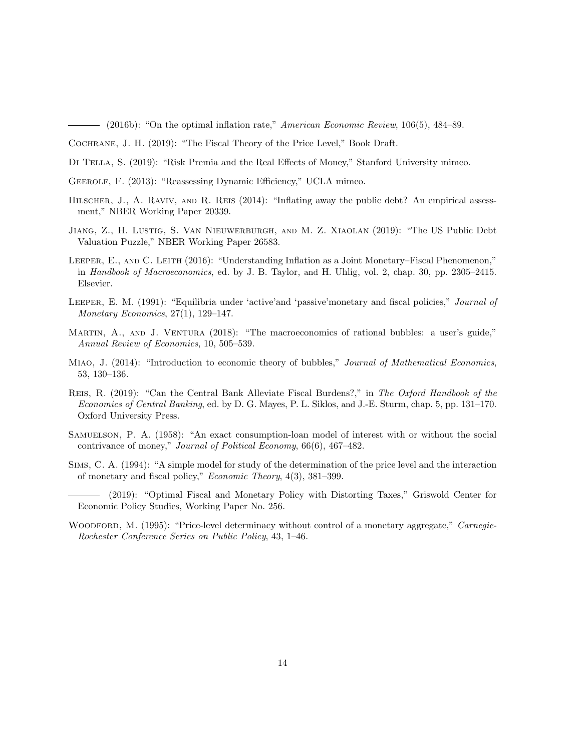(2016b): "On the optimal inflation rate," American Economic Review, 106(5), 484–89.

- Di Tella, S. (2019): "Risk Premia and the Real Effects of Money," Stanford University mimeo.
- Geerolf, F. (2013): "Reassessing Dynamic Efficiency," UCLA mimeo.
- HILSCHER, J., A. RAVIV, AND R. REIS (2014): "Inflating away the public debt? An empirical assessment," NBER Working Paper 20339.
- Jiang, Z., H. Lustig, S. Van Nieuwerburgh, and M. Z. Xiaolan (2019): "The US Public Debt Valuation Puzzle," NBER Working Paper 26583.
- LEEPER, E., AND C. LEITH (2016): "Understanding Inflation as a Joint Monetary–Fiscal Phenomenon," in Handbook of Macroeconomics, ed. by J. B. Taylor, and H. Uhlig, vol. 2, chap. 30, pp. 2305–2415. Elsevier.
- Leeper, E. M. (1991): "Equilibria under 'active'and 'passive'monetary and fiscal policies," Journal of Monetary Economics, 27(1), 129–147.
- MARTIN, A., AND J. VENTURA (2018): "The macroeconomics of rational bubbles: a user's guide," Annual Review of Economics, 10, 505–539.
- MIAO, J. (2014): "Introduction to economic theory of bubbles," *Journal of Mathematical Economics*, 53, 130–136.
- Reis, R. (2019): "Can the Central Bank Alleviate Fiscal Burdens?," in The Oxford Handbook of the Economics of Central Banking, ed. by D. G. Mayes, P. L. Siklos, and J.-E. Sturm, chap. 5, pp. 131–170. Oxford University Press.
- Samuelson, P. A. (1958): "An exact consumption-loan model of interest with or without the social contrivance of money," Journal of Political Economy, 66(6), 467–482.
- Sims, C. A. (1994): "A simple model for study of the determination of the price level and the interaction of monetary and fiscal policy," Economic Theory, 4(3), 381–399.

(2019): "Optimal Fiscal and Monetary Policy with Distorting Taxes," Griswold Center for Economic Policy Studies, Working Paper No. 256.

WOODFORD, M. (1995): "Price-level determinacy without control of a monetary aggregate," Carnegie-Rochester Conference Series on Public Policy, 43, 1–46.

Cochrane, J. H. (2019): "The Fiscal Theory of the Price Level," Book Draft.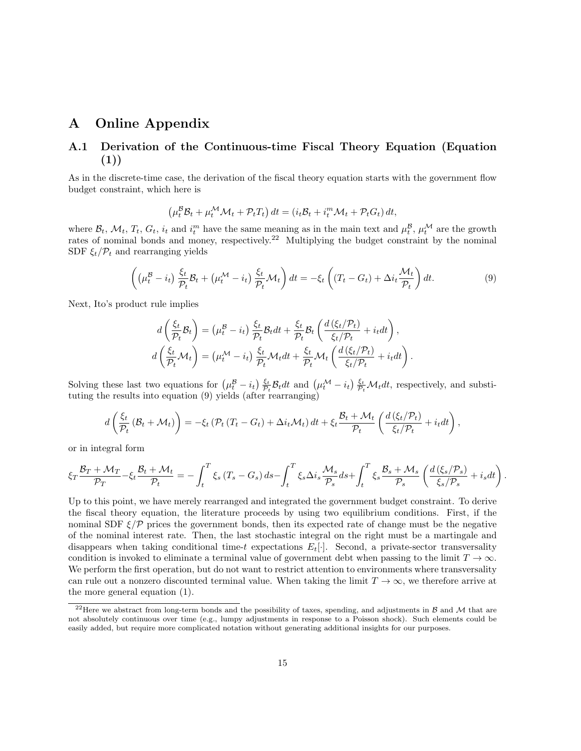### A Online Appendix

### A.1 Derivation of the Continuous-time Fiscal Theory Equation (Equation (1))

As in the discrete-time case, the derivation of the fiscal theory equation starts with the government flow budget constraint, which here is

$$
\left(\mu_t^{\mathcal{B}}\mathcal{B}_t + \mu_t^{\mathcal{M}}\mathcal{M}_t + \mathcal{P}_tT_t\right)dt = \left(i_t\mathcal{B}_t + i_t^m\mathcal{M}_t + \mathcal{P}_tG_t\right)dt,
$$

where  $\mathcal{B}_t$ ,  $\mathcal{M}_t$ ,  $T_t$ ,  $G_t$ ,  $i_t$  and  $i_t^m$  have the same meaning as in the main text and  $\mu_t^{\mathcal{B}}$ ,  $\mu_t^{\mathcal{M}}$  are the growth rates of nominal bonds and money, respectively.<sup>22</sup> Multiplying the budget constraint by the nominal SDF  $\xi_t/\mathcal{P}_t$  and rearranging yields

$$
\left( \left( \mu_t^{\mathcal{B}} - i_t \right) \frac{\xi_t}{\mathcal{P}_t} \mathcal{B}_t + \left( \mu_t^{\mathcal{M}} - i_t \right) \frac{\xi_t}{\mathcal{P}_t} \mathcal{M}_t \right) dt = -\xi_t \left( (T_t - G_t) + \Delta i_t \frac{\mathcal{M}_t}{\mathcal{P}_t} \right) dt. \tag{9}
$$

Next, Ito's product rule implies

$$
d\left(\frac{\xi_t}{\mathcal{P}_t}\mathcal{B}_t\right) = \left(\mu_t^{\mathcal{B}} - i_t\right) \frac{\xi_t}{\mathcal{P}_t}\mathcal{B}_t dt + \frac{\xi_t}{\mathcal{P}_t}\mathcal{B}_t \left(\frac{d\left(\xi_t/\mathcal{P}_t\right)}{\xi_t/\mathcal{P}_t} + i_t dt\right),
$$
  

$$
d\left(\frac{\xi_t}{\mathcal{P}_t}\mathcal{M}_t\right) = \left(\mu_t^{\mathcal{M}} - i_t\right) \frac{\xi_t}{\mathcal{P}_t}\mathcal{M}_t dt + \frac{\xi_t}{\mathcal{P}_t}\mathcal{M}_t \left(\frac{d\left(\xi_t/\mathcal{P}_t\right)}{\xi_t/\mathcal{P}_t} + i_t dt\right).
$$

Solving these last two equations for  $(\mu_t^B - i_t) \frac{\xi_t}{\mathcal{P}_t} \mathcal{B}_t dt$  and  $(\mu_t^{\mathcal{M}} - i_t) \frac{\xi_t}{\mathcal{P}_t} \mathcal{M}_t dt$ , respectively, and substituting the results into equation (9) yields (after rearranging)

$$
d\left(\frac{\xi_t}{\mathcal{P}_t}\left(\mathcal{B}_t+\mathcal{M}_t\right)\right)=-\xi_t\left(\mathcal{P}_t\left(T_t-G_t\right)+\Delta i_t\mathcal{M}_t\right)dt+\xi_t\frac{\mathcal{B}_t+\mathcal{M}_t}{\mathcal{P}_t}\left(\frac{d\left(\xi_t/\mathcal{P}_t\right)}{\xi_t/\mathcal{P}_t}+i_tdt\right),
$$

or in integral form

$$
\xi_T \frac{\mathcal{B}_T + \mathcal{M}_T}{\mathcal{P}_T} - \xi_t \frac{\mathcal{B}_t + \mathcal{M}_t}{\mathcal{P}_t} = -\int_t^T \xi_s (T_s - G_s) ds - \int_t^T \xi_s \Delta i_s \frac{\mathcal{M}_s}{\mathcal{P}_s} ds + \int_t^T \xi_s \frac{\mathcal{B}_s + \mathcal{M}_s}{\mathcal{P}_s} \left( \frac{d(\xi_s/\mathcal{P}_s)}{\xi_s/\mathcal{P}_s} + i_s dt \right)
$$

.

Up to this point, we have merely rearranged and integrated the government budget constraint. To derive the fiscal theory equation, the literature proceeds by using two equilibrium conditions. First, if the nominal SDF  $\xi/\mathcal{P}$  prices the government bonds, then its expected rate of change must be the negative of the nominal interest rate. Then, the last stochastic integral on the right must be a martingale and disappears when taking conditional time-t expectations  $E_t[\cdot]$ . Second, a private-sector transversality condition is invoked to eliminate a terminal value of government debt when passing to the limit  $T \to \infty$ . We perform the first operation, but do not want to restrict attention to environments where transversality can rule out a nonzero discounted terminal value. When taking the limit  $T \to \infty$ , we therefore arrive at the more general equation (1).

<sup>&</sup>lt;sup>22</sup>Here we abstract from long-term bonds and the possibility of taxes, spending, and adjustments in  $\beta$  and  $\mathcal M$  that are not absolutely continuous over time (e.g., lumpy adjustments in response to a Poisson shock). Such elements could be easily added, but require more complicated notation without generating additional insights for our purposes.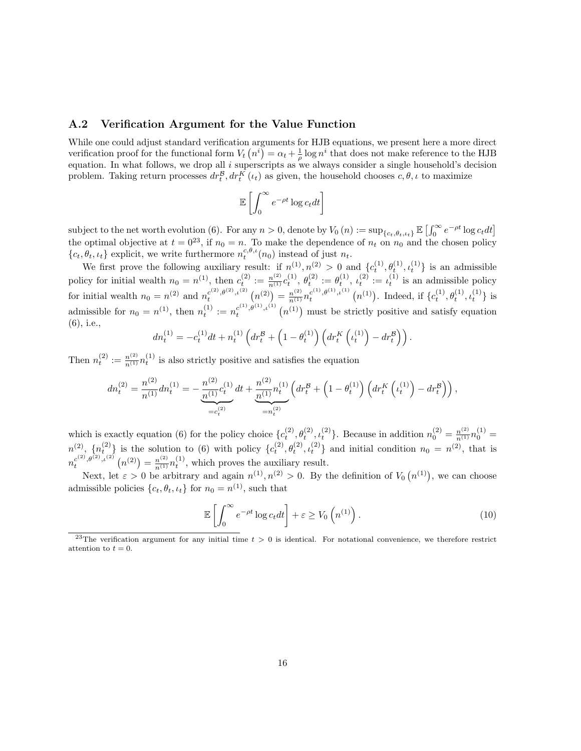#### A.2 Verification Argument for the Value Function

While one could adjust standard verification arguments for HJB equations, we present here a more direct verification proof for the functional form  $V_t(n^i) = \alpha_t + \frac{1}{\rho} \log n^i$  that does not make reference to the HJB equation. In what follows, we drop all  $i$  superscripts as we always consider a single household's decision problem. Taking return processes  $dr_t^{\mathcal{B}}, dr_t^K(\iota_t)$  as given, the household chooses  $c, \theta, \iota$  to maximize

$$
\mathbb{E}\left[\int_0^\infty e^{-\rho t}\log c_t dt\right]
$$

subject to the net worth evolution (6). For any  $n > 0$ , denote by  $V_0(n) := \sup_{\{c_t, \theta_t, \iota_t\}} \mathbb{E} \left[ \int_0^\infty e^{-\rho t} \log c_t dt \right]$ the optimal objective at  $t = 0^{23}$ , if  $n_0 = n$ . To make the dependence of  $n_t$  on  $n_0$  and the chosen policy  $\{c_t, \theta_t, \iota_t\}$  explicit, we write furthermore  $n_t^{c,\theta,\iota}(n_0)$  instead of just  $n_t$ .

We first prove the following auxiliary result: if  $n^{(1)}, n^{(2)} > 0$  and  $\{c_t^{(1)}, \theta_t^{(1)}, \iota_t^{(1)}\}$  is an admissible policy for initial wealth  $n_0 = n^{(1)}$ , then  $c_t^{(2)} := \frac{n^{(2)}}{n^{(1)}} c_t^{(1)}$ ,  $\theta_t^{(2)} := \theta_t^{(1)}$ ,  $\iota_t^{(2)} := \iota_t^{(1)}$  is an admissible policy for initial wealth  $n_0 = n^{(2)}$  and  $n_t^{c^{(2)}, \theta^{(2)}, \iota^{(2)}}(n^{(2)}) = \frac{n^{(2)}}{n^{(1)}} n_t^{c^{(1)}, \theta^{(1)}, \iota^{(1)}}(n^{(1)})$ . Indeed, if  $\{c_t^{(1)}, \theta_t^{(1)}, \iota_t^{(1)}\}$  is admissible for  $n_0 = n^{(1)}$ , then  $n_t^{(1)} := n_t^{c^{(1)}, \theta^{(1)}, \iota^{(1)}}(n^{(1)})$  must be strictly positive and satisfy equation (6), i.e.,

$$
dn_t^{(1)} = -c_t^{(1)}dt + n_t^{(1)}\left(dr_t^{\mathcal{B}} + \left(1 - \theta_t^{(1)}\right)\left(dr_t^K\left(\iota_t^{(1)}\right) - dr_t^{\mathcal{B}}\right)\right).
$$

Then  $n_t^{(2)} := \frac{n^{(2)}}{n^{(1)}} n_t^{(1)}$  is also strictly positive and satisfies the equation

$$
dn_t^{(2)} = \frac{n^{(2)}}{n^{(1)}} dn_t^{(1)} = -\frac{n^{(2)}}{n^{(1)}} c_t^{(1)} dt + \frac{n^{(2)}}{n^{(1)}} n_t^{(1)} \left( dr_t^{\mathcal{B}} + \left( 1 - \theta_t^{(1)} \right) \left( dr_t^K \left( \iota_t^{(1)} \right) - dr_t^{\mathcal{B}} \right) \right),
$$

which is exactly equation (6) for the policy choice  $\{c_t^{(2)}, \theta_t^{(2)}, \iota_t^{(2)}\}$ . Because in addition  $n_0^{(2)} = \frac{n^{(2)}}{n^{(1)}} n_0^{(1)} =$  $n^{(2)}$ ,  $\{n_t^{(2)}\}$  is the solution to (6) with policy  $\{c_t^{(2)}, \theta_t^{(2)}, c_t^{(2)}\}$  and initial condition  $n_0 = n^{(2)}$ , that is  $n_t^{c^{(2)}, \theta^{(2)}, \iota^{(2)}}(n^{(2)}) = \frac{n^{(2)}}{n^{(1)}} n_t^{(1)},$  which proves the auxiliary result.

Next, let  $\varepsilon > 0$  be arbitrary and again  $n^{(1)}, n^{(2)} > 0$ . By the definition of  $V_0(n^{(1)})$ , we can choose admissible policies  $\{c_t, \theta_t, \iota_t\}$  for  $n_0 = n^{(1)}$ , such that

$$
\mathbb{E}\left[\int_0^\infty e^{-\rho t} \log c_t dt\right] + \varepsilon \ge V_0\left(n^{(1)}\right). \tag{10}
$$

<sup>&</sup>lt;sup>23</sup>The verification argument for any initial time  $t > 0$  is identical. For notational convenience, we therefore restrict attention to  $t = 0$ .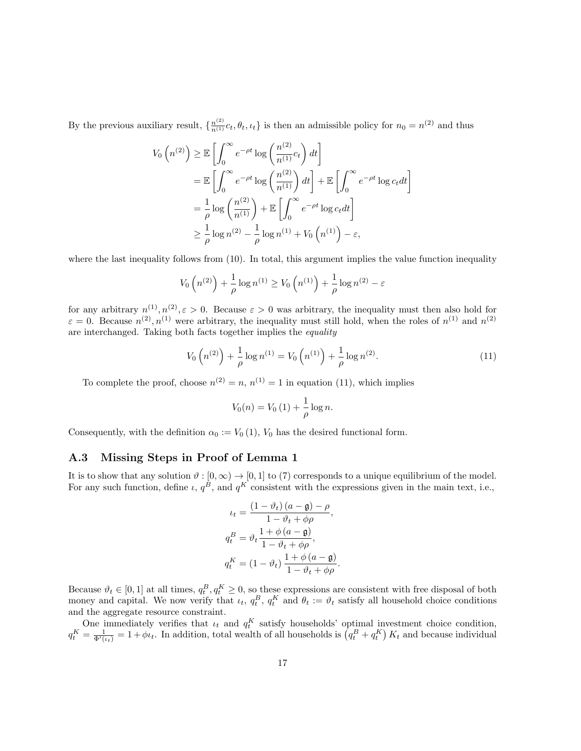By the previous auxiliary result,  $\{\frac{n^{(2)}}{n^{(1)}}c_t, \theta_t, \iota_t\}$  is then an admissible policy for  $n_0 = n^{(2)}$  and thus

$$
V_0(n^{(2)}) \geq \mathbb{E}\left[\int_0^\infty e^{-\rho t} \log\left(\frac{n^{(2)}}{n^{(1)}}c_t\right)dt\right]
$$
  
=  $\mathbb{E}\left[\int_0^\infty e^{-\rho t} \log\left(\frac{n^{(2)}}{n^{(1)}}\right)dt\right] + \mathbb{E}\left[\int_0^\infty e^{-\rho t} \log c_t dt\right]$   
=  $\frac{1}{\rho} \log\left(\frac{n^{(2)}}{n^{(1)}}\right) + \mathbb{E}\left[\int_0^\infty e^{-\rho t} \log c_t dt\right]$   
 $\geq \frac{1}{\rho} \log n^{(2)} - \frac{1}{\rho} \log n^{(1)} + V_0(n^{(1)}) - \varepsilon,$ 

where the last inequality follows from  $(10)$ . In total, this argument implies the value function inequality

$$
V_0(n^{(2)}) + \frac{1}{\rho} \log n^{(1)} \ge V_0(n^{(1)}) + \frac{1}{\rho} \log n^{(2)} - \varepsilon
$$

for any arbitrary  $n^{(1)}, n^{(2)}, \varepsilon > 0$ . Because  $\varepsilon > 0$  was arbitrary, the inequality must then also hold for  $\varepsilon = 0$ . Because  $n^{(2)}$ ,  $n^{(1)}$  were arbitrary, the inequality must still hold, when the roles of  $n^{(1)}$  and  $n^{(2)}$ are interchanged. Taking both facts together implies the equality

$$
V_0\left(n^{(2)}\right) + \frac{1}{\rho}\log n^{(1)} = V_0\left(n^{(1)}\right) + \frac{1}{\rho}\log n^{(2)}.\tag{11}
$$

To complete the proof, choose  $n^{(2)} = n$ ,  $n^{(1)} = 1$  in equation (11), which implies

$$
V_0(n) = V_0(1) + \frac{1}{\rho} \log n.
$$

Consequently, with the definition  $\alpha_0 := V_0(1)$ ,  $V_0$  has the desired functional form.

#### A.3 Missing Steps in Proof of Lemma 1

It is to show that any solution  $\vartheta : [0, \infty) \to [0, 1]$  to (7) corresponds to a unique equilibrium of the model. For any such function, define  $\iota$ ,  $q^B$ , and  $q^K$  consistent with the expressions given in the main text, i.e.,

$$
\iota_t = \frac{(1 - \vartheta_t) (a - \mathfrak{g}) - \rho}{1 - \vartheta_t + \phi \rho},
$$
  
\n
$$
q_t^B = \vartheta_t \frac{1 + \phi (a - \mathfrak{g})}{1 - \vartheta_t + \phi \rho},
$$
  
\n
$$
q_t^K = (1 - \vartheta_t) \frac{1 + \phi (a - \mathfrak{g})}{1 - \vartheta_t + \phi \rho}.
$$

Because  $\vartheta_t \in [0,1]$  at all times,  $q_t^B, q_t^K \ge 0$ , so these expressions are consistent with free disposal of both money and capital. We now verify that  $\iota_t$ ,  $q_t^B$ ,  $q_t^K$  and  $\theta_t := \vartheta_t$  satisfy all household choice conditions and the aggregate resource constraint.

One immediately verifies that  $u_t$  and  $q_t^K$  satisfy households' optimal investment choice condition,  $q_t^K = \frac{1}{\Phi'(t_t)} = 1 + \phi t_t$ . In addition, total wealth of all households is  $(q_t^B + q_t^K) K_t$  and because individual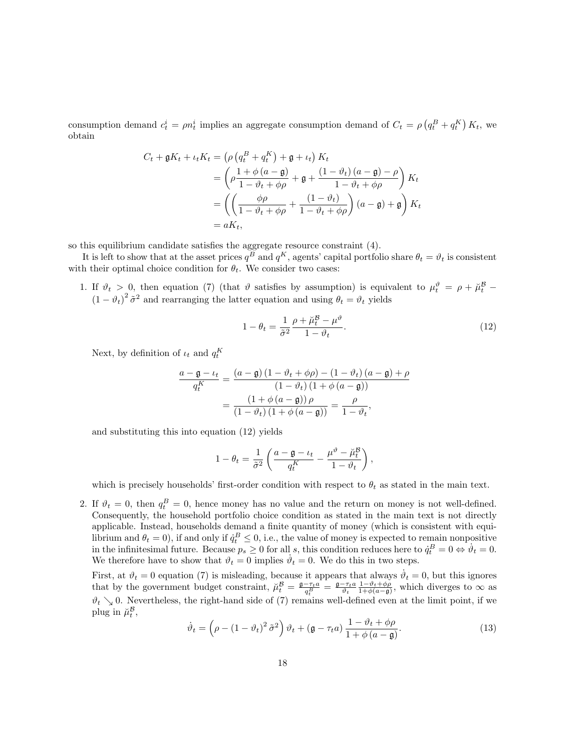consumption demand  $c_t^i = \rho n_t^i$  implies an aggregate consumption demand of  $C_t = \rho \left( q_t^B + q_t^K \right) K_t$ , we obtain

$$
C_t + \mathfrak{g}K_t + \iota_t K_t = \left(\rho \left(q_t^B + q_t^K\right) + \mathfrak{g} + \iota_t\right) K_t
$$
  
= 
$$
\left(\rho \frac{1 + \phi \left(a - \mathfrak{g}\right)}{1 - \vartheta_t + \phi \rho} + \mathfrak{g} + \frac{(1 - \vartheta_t) \left(a - \mathfrak{g}\right) - \rho}{1 - \vartheta_t + \phi \rho}\right) K_t
$$
  
= 
$$
\left(\left(\frac{\phi \rho}{1 - \vartheta_t + \phi \rho} + \frac{(1 - \vartheta_t)}{1 - \vartheta_t + \phi \rho}\right) \left(a - \mathfrak{g}\right) + \mathfrak{g}\right) K_t
$$
  
= 
$$
aK_t,
$$

so this equilibrium candidate satisfies the aggregate resource constraint (4).

It is left to show that at the asset prices  $q^B$  and  $q^K$ , agents' capital portfolio share  $\theta_t = \vartheta_t$  is consistent with their optimal choice condition for  $\theta_t$ . We consider two cases:

1. If  $\vartheta_t > 0$ , then equation (7) (that  $\vartheta$  satisfies by assumption) is equivalent to  $\mu_t^{\vartheta} = \rho + \mu_t^{\mathcal{B}}$  $(1 - \vartheta_t)^2 \tilde{\sigma}^2$  and rearranging the latter equation and using  $\theta_t = \vartheta_t$  yields

$$
1 - \theta_t = \frac{1}{\tilde{\sigma}^2} \frac{\rho + \breve{\mu}_t^{\mathcal{B}} - \mu^{\vartheta}}{1 - \vartheta_t}.
$$
\n(12)

Next, by definition of  $\iota_t$  and  $q_t^K$ 

$$
\frac{a - \mathfrak{g} - \iota_t}{q_t^K} = \frac{(a - \mathfrak{g}) (1 - \vartheta_t + \phi \rho) - (1 - \vartheta_t) (a - \mathfrak{g}) + \rho}{(1 - \vartheta_t) (1 + \phi (a - \mathfrak{g}))}
$$

$$
= \frac{(1 + \phi (a - \mathfrak{g})) \rho}{(1 - \vartheta_t) (1 + \phi (a - \mathfrak{g}))} = \frac{\rho}{1 - \vartheta_t},
$$

and substituting this into equation (12) yields

$$
1 - \theta_t = \frac{1}{\tilde{\sigma}^2} \left( \frac{a - \mathfrak{g} - \iota_t}{q_t^K} - \frac{\mu^{\vartheta} - \breve{\mu}_t^{\mathcal{B}}}{1 - \vartheta_t} \right),
$$

which is precisely households' first-order condition with respect to  $\theta_t$  as stated in the main text.

2. If  $\vartheta_t = 0$ , then  $q_t^B = 0$ , hence money has no value and the return on money is not well-defined. Consequently, the household portfolio choice condition as stated in the main text is not directly applicable. Instead, households demand a finite quantity of money (which is consistent with equilibrium and  $\theta_t = 0$ ), if and only if  $\dot{q}_t^B \leq 0$ , i.e., the value of money is expected to remain nonpositive in the infinitesimal future. Because  $p_s \ge 0$  for all s, this condition reduces here to  $\dot{q}_t^B = 0 \Leftrightarrow \dot{v}_t = 0$ . We therefore have to show that  $\vartheta_t = 0$  implies  $\dot{\vartheta}_t = 0$ . We do this in two steps.

First, at  $\vartheta_t = 0$  equation (7) is misleading, because it appears that always  $\dot{\vartheta}_t = 0$ , but this ignores that by the government budget constraint,  $\breve{\mu}_t^B = \frac{\mathfrak{g} - \tau_t a}{q_t^B} = \frac{\mathfrak{g} - \tau_t a}{\vartheta_t} \frac{1 - \vartheta_t + \varphi \rho}{1 + \varphi(a - \mathfrak{g})}$ , which diverges to  $\infty$  as  $\vartheta_t \searrow 0$ . Nevertheless, the right-hand side of (7) remains well-defined even at the limit point, if we plug in  $\breve{\mu}_t^{\mathcal{B}},$ 

$$
\dot{\vartheta}_t = \left(\rho - (1 - \vartheta_t)^2 \tilde{\sigma}^2\right) \vartheta_t + \left(\mathfrak{g} - \tau_t a\right) \frac{1 - \vartheta_t + \phi \rho}{1 + \phi \left(a - \mathfrak{g}\right)}.\tag{13}
$$